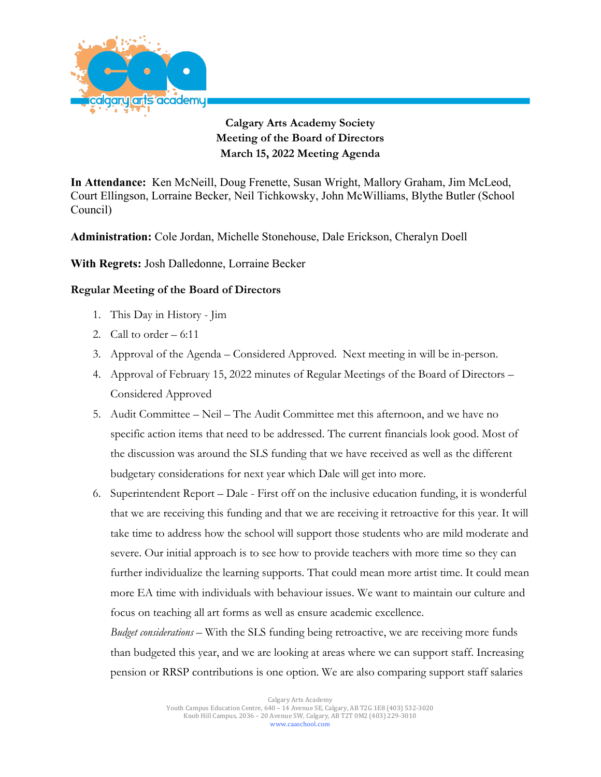

**Calgary Arts Academy Society Meeting of the Board of Directors March 15, 2022 Meeting Agenda**

**In Attendance:** Ken McNeill, Doug Frenette, Susan Wright, Mallory Graham, Jim McLeod, Court Ellingson, Lorraine Becker, Neil Tichkowsky, John McWilliams, Blythe Butler (School Council)

**Administration:** Cole Jordan, Michelle Stonehouse, Dale Erickson, Cheralyn Doell

**With Regrets:** Josh Dalledonne, Lorraine Becker

## **Regular Meeting of the Board of Directors**

- 1. This Day in History Jim
- 2. Call to order 6:11
- 3. Approval of the Agenda Considered Approved. Next meeting in will be in-person.
- 4. Approval of February 15, 2022 minutes of Regular Meetings of the Board of Directors Considered Approved
- 5. Audit Committee Neil The Audit Committee met this afternoon, and we have no specific action items that need to be addressed. The current financials look good. Most of the discussion was around the SLS funding that we have received as well as the different budgetary considerations for next year which Dale will get into more.
- 6. Superintendent Report Dale First off on the inclusive education funding, it is wonderful that we are receiving this funding and that we are receiving it retroactive for this year. It will take time to address how the school will support those students who are mild moderate and severe. Our initial approach is to see how to provide teachers with more time so they can further individualize the learning supports. That could mean more artist time. It could mean more EA time with individuals with behaviour issues. We want to maintain our culture and focus on teaching all art forms as well as ensure academic excellence.

*Budget considerations* – With the SLS funding being retroactive, we are receiving more funds than budgeted this year, and we are looking at areas where we can support staff. Increasing pension or RRSP contributions is one option. We are also comparing support staff salaries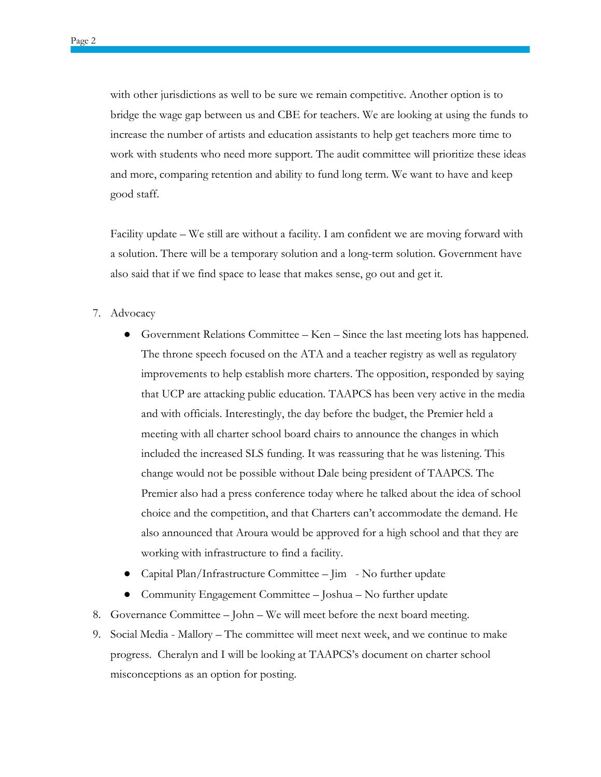with other jurisdictions as well to be sure we remain competitive. Another option is to bridge the wage gap between us and CBE for teachers. We are looking at using the funds to increase the number of artists and education assistants to help get teachers more time to work with students who need more support. The audit committee will prioritize these ideas and more, comparing retention and ability to fund long term. We want to have and keep good staff.

Facility update – We still are without a facility. I am confident we are moving forward with a solution. There will be a temporary solution and a long-term solution. Government have also said that if we find space to lease that makes sense, go out and get it.

- 7. Advocacy
	- Government Relations Committee Ken Since the last meeting lots has happened. The throne speech focused on the ATA and a teacher registry as well as regulatory improvements to help establish more charters. The opposition, responded by saying that UCP are attacking public education. TAAPCS has been very active in the media and with officials. Interestingly, the day before the budget, the Premier held a meeting with all charter school board chairs to announce the changes in which included the increased SLS funding. It was reassuring that he was listening. This change would not be possible without Dale being president of TAAPCS. The Premier also had a press conference today where he talked about the idea of school choice and the competition, and that Charters can't accommodate the demand. He also announced that Aroura would be approved for a high school and that they are working with infrastructure to find a facility.
	- Capital Plan/Infrastructure Committee Jim No further update
	- Community Engagement Committee Joshua No further update
- 8. Governance Committee John We will meet before the next board meeting.
- 9. Social Media Mallory The committee will meet next week, and we continue to make progress. Cheralyn and I will be looking at TAAPCS's document on charter school misconceptions as an option for posting.